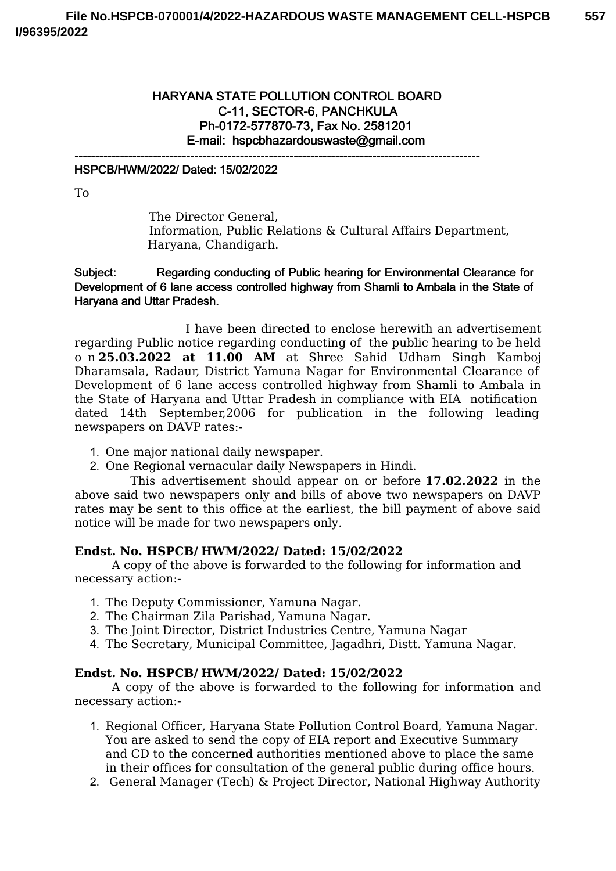## HARYANA STATE POLLUTION CONTROL BOARD C-11, SECTOR-6, PANCHKULA Ph-0172-577870-73, Fax No. 2581201 E-mail: hspcbhazardouswaste@gmail.com

--------------------------------------------------------------------------------------------------

### HSPCB/HWM/2022/ Dated: 15/02/2022

To

The Director General, Information, Public Relations & Cultural Affairs Department, Haryana, Chandigarh.

Subject: Regarding conducting of Public hearing for Environmental Clearance for Development of 6 lane access controlled highway from Shamli to Ambala in the State of Haryana and Uttar Pradesh.

I have been directed to enclose herewith an advertisement regarding Public notice regarding conducting of the public hearing to be held o n **25.03.2022 at 11.00 AM** at Shree Sahid Udham Singh Kamboj Dharamsala, Radaur, District Yamuna Nagar for Environmental Clearance of Development of 6 lane access controlled highway from Shamli to Ambala in the State of Haryana and Uttar Pradesh in compliance with EIA notification dated 14th September,2006 for publication in the following leading newspapers on DAVP rates:-

- 1. One major national daily newspaper.
- 2. One Regional vernacular daily Newspapers in Hindi.

This advertisement should appear on or before **17.02.2022** in the above said two newspapers only and bills of above two newspapers on DAVP rates may be sent to this office at the earliest, the bill payment of above said notice will be made for two newspapers only.

### **Endst. No. HSPCB/ HWM/2022/ Dated: 15/02/2022**

A copy of the above is forwarded to the following for information and necessary action:-

- 1. The Deputy Commissioner, Yamuna Nagar.
- 2. The Chairman Zila Parishad, Yamuna Nagar.
- 3. The Joint Director, District Industries Centre, Yamuna Nagar
- 4. The Secretary, Municipal Committee, Jagadhri, Distt. Yamuna Nagar.

### **Endst. No. HSPCB/ HWM/2022/ Dated: 15/02/2022**

A copy of the above is forwarded to the following for information and necessary action:-

- 1. Regional Officer, Haryana State Pollution Control Board, Yamuna Nagar. You are asked to send the copy of EIA report and Executive Summary and CD to the concerned authorities mentioned above to place the same in their offices for consultation of the general public during office hours.
- 2. General Manager (Tech) & Project Director, National Highway Authority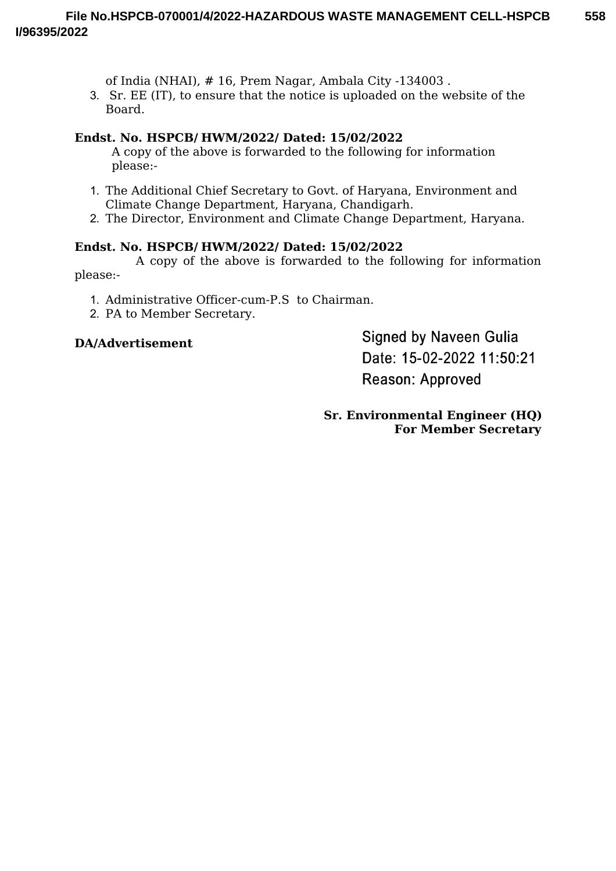of India (NHAI), # 16, Prem Nagar, Ambala City -134003 .

3. Sr. EE (IT), to ensure that the notice is uploaded on the website of the Board.

## **Endst. No. HSPCB/ HWM/2022/ Dated: 15/02/2022**

A copy of the above is forwarded to the following for information please:-

- 1. The Additional Chief Secretary to Govt. of Haryana, Environment and Climate Change Department, Haryana, Chandigarh.
- 2. The Director, Environment and Climate Change Department, Haryana.

# **Endst. No. HSPCB/ HWM/2022/ Dated: 15/02/2022**

A copy of the above is forwarded to the following for information please:-

- 1. Administrative Officer-cum-P.S to Chairman.
- 2. PA to Member Secretary.

# **DA/Advertisement**

**Signed by Naveen Gulia** Date: 15-02-2022 11:50:21 Reason: Approved

**Sr. Environmental Engineer (HQ) For Member Secretary**